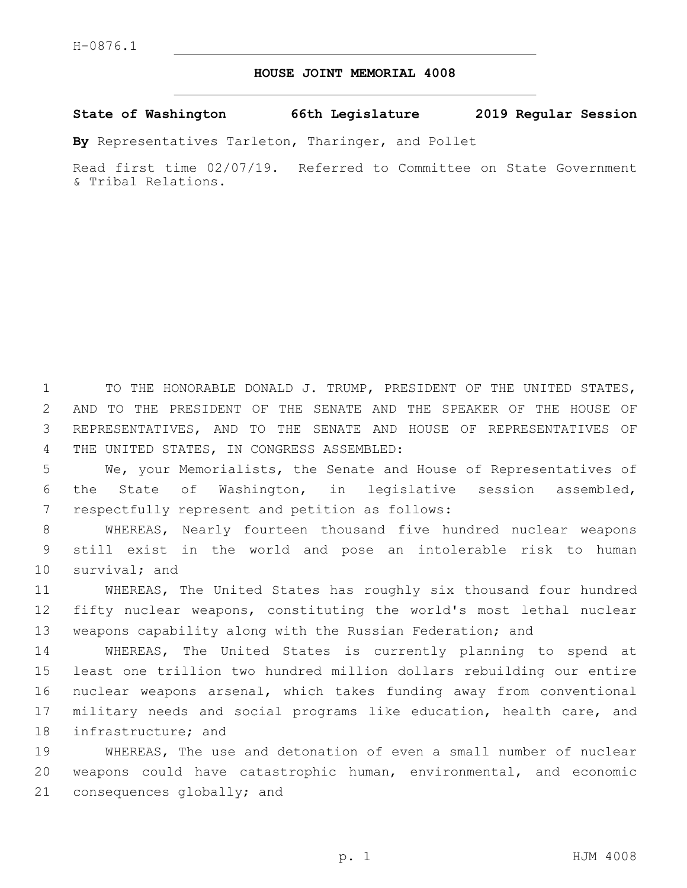## **HOUSE JOINT MEMORIAL 4008**

**State of Washington 66th Legislature 2019 Regular Session**

**By** Representatives Tarleton, Tharinger, and Pollet

Read first time 02/07/19. Referred to Committee on State Government & Tribal Relations.

 TO THE HONORABLE DONALD J. TRUMP, PRESIDENT OF THE UNITED STATES, AND TO THE PRESIDENT OF THE SENATE AND THE SPEAKER OF THE HOUSE OF REPRESENTATIVES, AND TO THE SENATE AND HOUSE OF REPRESENTATIVES OF 4 THE UNITED STATES, IN CONGRESS ASSEMBLED:

5 We, your Memorialists, the Senate and House of Representatives of 6 the State of Washington, in legislative session assembled, 7 respectfully represent and petition as follows:

8 WHEREAS, Nearly fourteen thousand five hundred nuclear weapons 9 still exist in the world and pose an intolerable risk to human 10 survival; and

11 WHEREAS, The United States has roughly six thousand four hundred 12 fifty nuclear weapons, constituting the world's most lethal nuclear 13 weapons capability along with the Russian Federation; and

 WHEREAS, The United States is currently planning to spend at least one trillion two hundred million dollars rebuilding our entire nuclear weapons arsenal, which takes funding away from conventional military needs and social programs like education, health care, and 18 infrastructure; and

19 WHEREAS, The use and detonation of even a small number of nuclear 20 weapons could have catastrophic human, environmental, and economic 21 consequences globally; and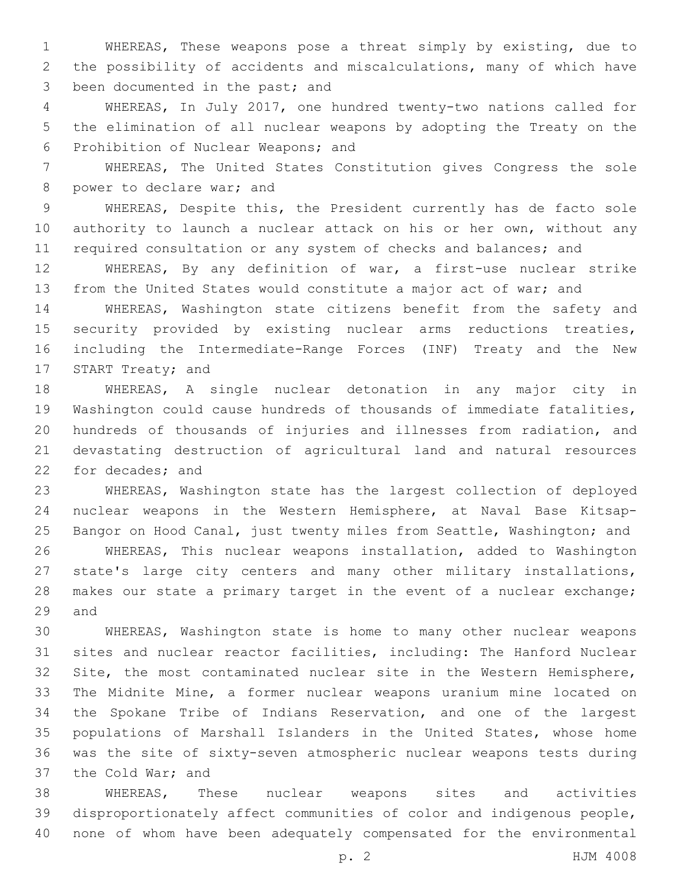WHEREAS, These weapons pose a threat simply by existing, due to the possibility of accidents and miscalculations, many of which have 3 been documented in the past; and

 WHEREAS, In July 2017, one hundred twenty-two nations called for the elimination of all nuclear weapons by adopting the Treaty on the 6 Prohibition of Nuclear Weapons; and

 WHEREAS, The United States Constitution gives Congress the sole 8 power to declare war; and

 WHEREAS, Despite this, the President currently has de facto sole authority to launch a nuclear attack on his or her own, without any 11 required consultation or any system of checks and balances; and

 WHEREAS, By any definition of war, a first-use nuclear strike from the United States would constitute a major act of war; and

 WHEREAS, Washington state citizens benefit from the safety and security provided by existing nuclear arms reductions treaties, including the Intermediate-Range Forces (INF) Treaty and the New 17 START Treaty; and

 WHEREAS, A single nuclear detonation in any major city in Washington could cause hundreds of thousands of immediate fatalities, hundreds of thousands of injuries and illnesses from radiation, and devastating destruction of agricultural land and natural resources 22 for decades; and

 WHEREAS, Washington state has the largest collection of deployed nuclear weapons in the Western Hemisphere, at Naval Base Kitsap- Bangor on Hood Canal, just twenty miles from Seattle, Washington; and WHEREAS, This nuclear weapons installation, added to Washington state's large city centers and many other military installations, 28 makes our state a primary target in the event of a nuclear exchange; 29 and

 WHEREAS, Washington state is home to many other nuclear weapons sites and nuclear reactor facilities, including: The Hanford Nuclear Site, the most contaminated nuclear site in the Western Hemisphere, The Midnite Mine, a former nuclear weapons uranium mine located on the Spokane Tribe of Indians Reservation, and one of the largest populations of Marshall Islanders in the United States, whose home was the site of sixty-seven atmospheric nuclear weapons tests during 37 the Cold War; and

 WHEREAS, These nuclear weapons sites and activities disproportionately affect communities of color and indigenous people, none of whom have been adequately compensated for the environmental